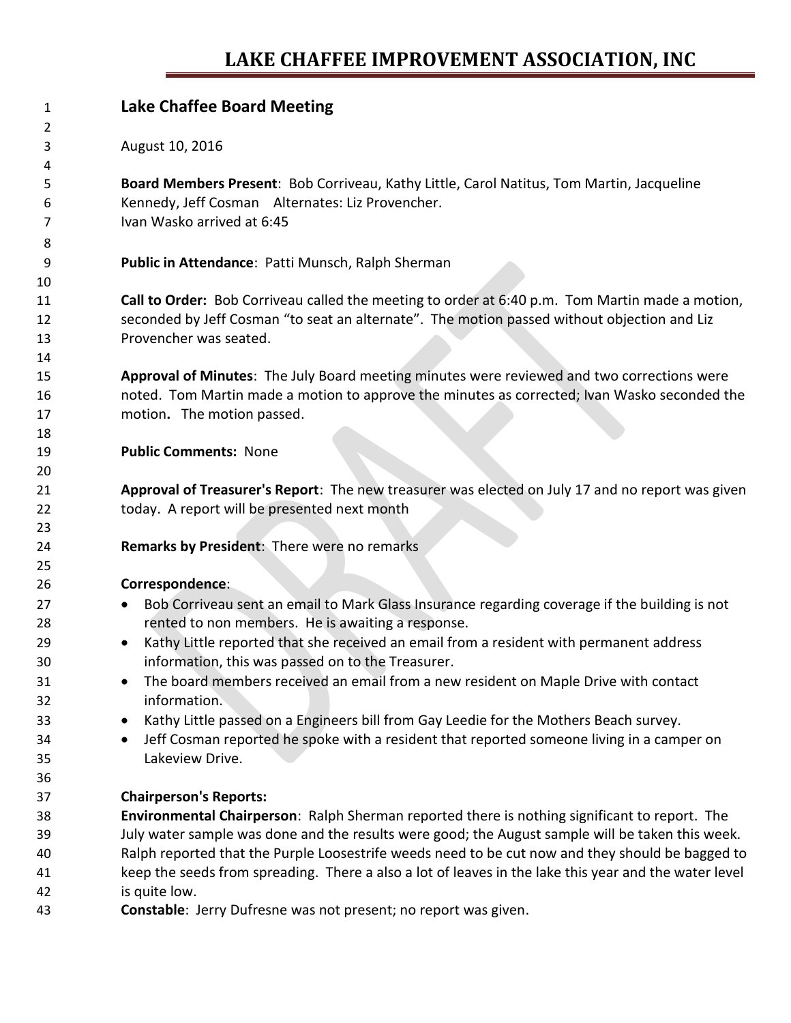## **LAKE CHAFFEE IMPROVEMENT ASSOCIATION, INC**

| $\mathbf{1}$ | <b>Lake Chaffee Board Meeting</b>                                                                      |
|--------------|--------------------------------------------------------------------------------------------------------|
| 2            |                                                                                                        |
| 3            | August 10, 2016                                                                                        |
| 4            |                                                                                                        |
| 5            | Board Members Present: Bob Corriveau, Kathy Little, Carol Natitus, Tom Martin, Jacqueline              |
| 6            | Kennedy, Jeff Cosman Alternates: Liz Provencher.                                                       |
| 7            | Ivan Wasko arrived at 6:45                                                                             |
| 8            |                                                                                                        |
| 9            | Public in Attendance: Patti Munsch, Ralph Sherman                                                      |
| 10           |                                                                                                        |
| 11           | Call to Order: Bob Corriveau called the meeting to order at 6:40 p.m. Tom Martin made a motion,        |
| 12           | seconded by Jeff Cosman "to seat an alternate". The motion passed without objection and Liz            |
| 13           | Provencher was seated.                                                                                 |
| 14           |                                                                                                        |
| 15           | Approval of Minutes: The July Board meeting minutes were reviewed and two corrections were             |
| 16           | noted. Tom Martin made a motion to approve the minutes as corrected; Ivan Wasko seconded the           |
| 17           | motion. The motion passed.                                                                             |
| 18           |                                                                                                        |
| 19           | <b>Public Comments: None</b>                                                                           |
| 20           |                                                                                                        |
| 21           | Approval of Treasurer's Report: The new treasurer was elected on July 17 and no report was given       |
| 22           | today. A report will be presented next month                                                           |
| 23           |                                                                                                        |
| 24           | Remarks by President: There were no remarks                                                            |
| 25           |                                                                                                        |
| 26           | Correspondence:                                                                                        |
| 27           | Bob Corriveau sent an email to Mark Glass Insurance regarding coverage if the building is not          |
| 28           | rented to non members. He is awaiting a response.                                                      |
| 29           | Kathy Little reported that she received an email from a resident with permanent address                |
| 30           | information, this was passed on to the Treasurer.                                                      |
| 31           | The board members received an email from a new resident on Maple Drive with contact                    |
| 32           | information.                                                                                           |
| 33           | Kathy Little passed on a Engineers bill from Gay Leedie for the Mothers Beach survey.                  |
| 34           | Jeff Cosman reported he spoke with a resident that reported someone living in a camper on<br>$\bullet$ |
| 35           | Lakeview Drive.                                                                                        |
| 36           |                                                                                                        |
| 37           | <b>Chairperson's Reports:</b>                                                                          |
| 38           | Environmental Chairperson: Ralph Sherman reported there is nothing significant to report. The          |
| 39           | July water sample was done and the results were good; the August sample will be taken this week.       |
| 40           | Ralph reported that the Purple Loosestrife weeds need to be cut now and they should be bagged to       |
| 41           | keep the seeds from spreading. There a also a lot of leaves in the lake this year and the water level  |
| 42           | is quite low.                                                                                          |
| $\sqrt{2}$   | Constable: Jerry Dufresse was not present; no report was given                                         |

**Constable**: Jerry Dufresne was not present; no report was given.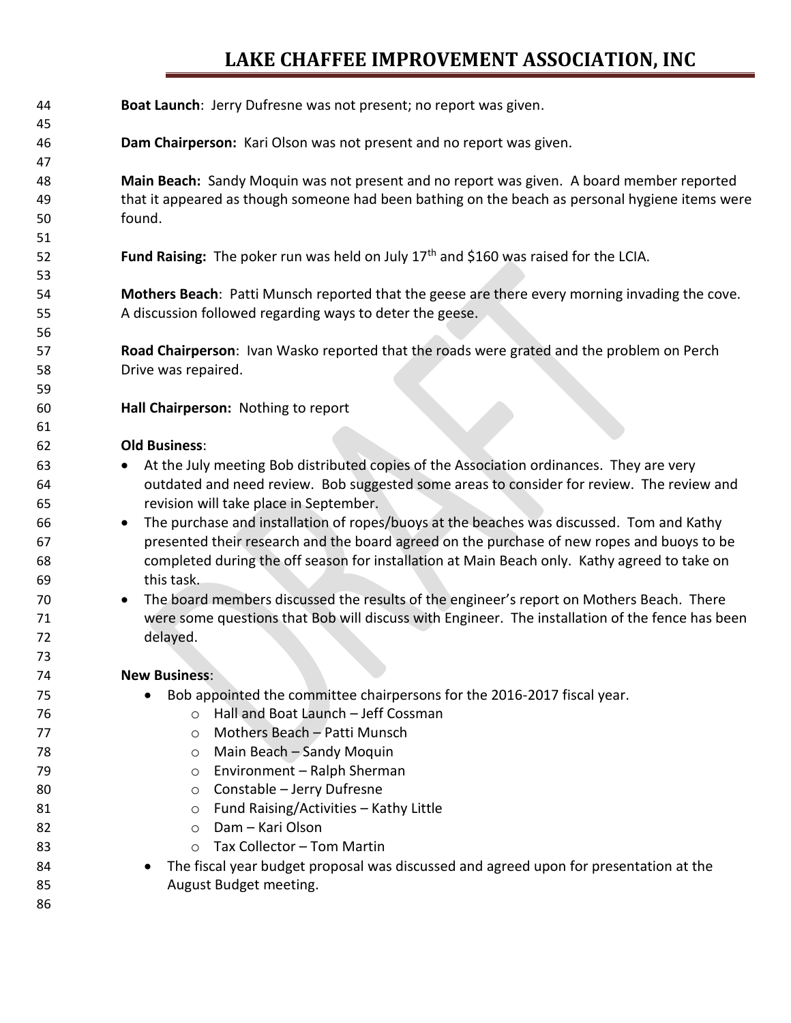## **LAKE CHAFFEE IMPROVEMENT ASSOCIATION, INC**

| 44<br>45 | Boat Launch: Jerry Dufresne was not present; no report was given.                                |
|----------|--------------------------------------------------------------------------------------------------|
| 46       | Dam Chairperson: Kari Olson was not present and no report was given.                             |
| 47       |                                                                                                  |
| 48       | Main Beach: Sandy Moquin was not present and no report was given. A board member reported        |
| 49       | that it appeared as though someone had been bathing on the beach as personal hygiene items were  |
| 50       | found.                                                                                           |
| 51       |                                                                                                  |
| 52       | Fund Raising: The poker run was held on July 17 <sup>th</sup> and \$160 was raised for the LCIA. |
| 53       |                                                                                                  |
| 54       | Mothers Beach: Patti Munsch reported that the geese are there every morning invading the cove.   |
| 55       | A discussion followed regarding ways to deter the geese.                                         |
| 56       |                                                                                                  |
| 57       | Road Chairperson: Ivan Wasko reported that the roads were grated and the problem on Perch        |
| 58       | Drive was repaired.                                                                              |
| 59       |                                                                                                  |
| 60       | Hall Chairperson: Nothing to report                                                              |
| 61       |                                                                                                  |
| 62       | <b>Old Business:</b>                                                                             |
| 63       | At the July meeting Bob distributed copies of the Association ordinances. They are very          |
| 64       | outdated and need review. Bob suggested some areas to consider for review. The review and        |
| 65       | revision will take place in September.                                                           |
| 66       | The purchase and installation of ropes/buoys at the beaches was discussed. Tom and Kathy         |
| 67       | presented their research and the board agreed on the purchase of new ropes and buoys to be       |
| 68       | completed during the off season for installation at Main Beach only. Kathy agreed to take on     |
| 69       | this task.                                                                                       |
| 70       | The board members discussed the results of the engineer's report on Mothers Beach. There         |
| 71       | were some questions that Bob will discuss with Engineer. The installation of the fence has been  |
| 72       | delayed.                                                                                         |
| 73       |                                                                                                  |
| 74       | <b>New Business:</b>                                                                             |
| 75       | Bob appointed the committee chairpersons for the 2016-2017 fiscal year.                          |
| 76       | Hall and Boat Launch - Jeff Cossman<br>$\Omega$                                                  |
| 77       | Mothers Beach - Patti Munsch<br>$\circ$                                                          |
| 78       | Main Beach - Sandy Moquin<br>$\circ$                                                             |
| 79       | Environment - Ralph Sherman<br>$\circ$                                                           |
| 80       | Constable - Jerry Dufresne<br>$\circ$                                                            |
| 81       | Fund Raising/Activities - Kathy Little<br>$\circ$                                                |
| 82       | Dam - Kari Olson<br>$\circ$                                                                      |
| 83       | Tax Collector - Tom Martin<br>$\circ$                                                            |
| 84       | The fiscal year budget proposal was discussed and agreed upon for presentation at the            |
| 85       | August Budget meeting.                                                                           |
| 86       |                                                                                                  |